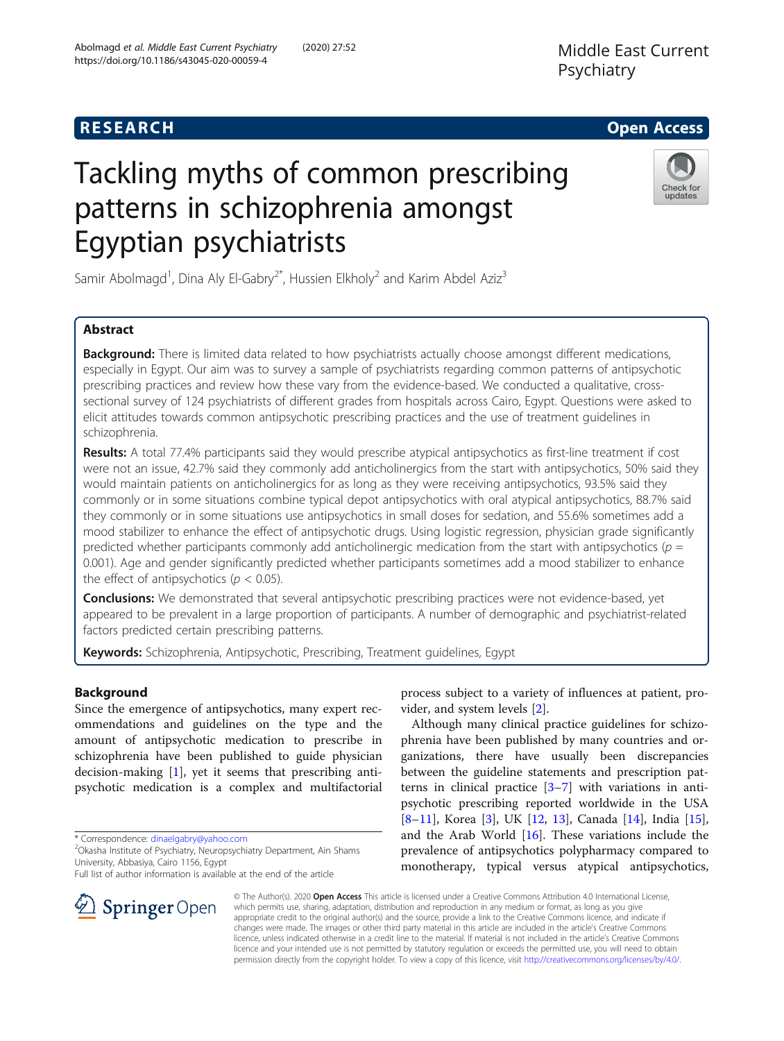https://doi.org/10.1186/s43045-020-00059-4

Middle East Current

Psychiatry

# Tackling myths of common prescribing patterns in schizophrenia amongst Egyptian psychiatrists



Samir Abolmagd<sup>1</sup>, Dina Aly El-Gabry<sup>2\*</sup>, Hussien Elkholy<sup>2</sup> and Karim Abdel Aziz<sup>3</sup>

# Abstract

**Background:** There is limited data related to how psychiatrists actually choose amongst different medications, especially in Egypt. Our aim was to survey a sample of psychiatrists regarding common patterns of antipsychotic prescribing practices and review how these vary from the evidence-based. We conducted a qualitative, crosssectional survey of 124 psychiatrists of different grades from hospitals across Cairo, Egypt. Questions were asked to elicit attitudes towards common antipsychotic prescribing practices and the use of treatment guidelines in schizophrenia.

Results: A total 77.4% participants said they would prescribe atypical antipsychotics as first-line treatment if cost were not an issue, 42.7% said they commonly add anticholinergics from the start with antipsychotics, 50% said they would maintain patients on anticholinergics for as long as they were receiving antipsychotics, 93.5% said they commonly or in some situations combine typical depot antipsychotics with oral atypical antipsychotics, 88.7% said they commonly or in some situations use antipsychotics in small doses for sedation, and 55.6% sometimes add a mood stabilizer to enhance the effect of antipsychotic drugs. Using logistic regression, physician grade significantly predicted whether participants commonly add anticholinergic medication from the start with antipsychotics ( $p =$ 0.001). Age and gender significantly predicted whether participants sometimes add a mood stabilizer to enhance the effect of antipsychotics ( $p < 0.05$ ).

**Conclusions:** We demonstrated that several antipsychotic prescribing practices were not evidence-based, yet appeared to be prevalent in a large proportion of participants. A number of demographic and psychiatrist-related factors predicted certain prescribing patterns.

Keywords: Schizophrenia, Antipsychotic, Prescribing, Treatment guidelines, Egypt

# Background

Since the emergence of antipsychotics, many expert recommendations and guidelines on the type and the amount of antipsychotic medication to prescribe in schizophrenia have been published to guide physician decision-making [\[1](#page-6-0)], yet it seems that prescribing antipsychotic medication is a complex and multifactorial

\* Correspondence: [dinaelgabry@yahoo.com](mailto:dinaelgabry@yahoo.com) <sup>2</sup>

Full list of author information is available at the end of the article



Although many clinical practice guidelines for schizophrenia have been published by many countries and organizations, there have usually been discrepancies between the guideline statements and prescription patterns in clinical practice  $[3-7]$  $[3-7]$  $[3-7]$  with variations in antipsychotic prescribing reported worldwide in the USA [[8](#page-6-0)–[11\]](#page-7-0), Korea [[3\]](#page-6-0), UK [[12,](#page-7-0) [13\]](#page-7-0), Canada [\[14](#page-7-0)], India [\[15](#page-7-0)], and the Arab World [[16](#page-7-0)]. These variations include the prevalence of antipsychotics polypharmacy compared to monotherapy, typical versus atypical antipsychotics,

© The Author(s). 2020 Open Access This article is licensed under a Creative Commons Attribution 4.0 International License, which permits use, sharing, adaptation, distribution and reproduction in any medium or format, as long as you give appropriate credit to the original author(s) and the source, provide a link to the Creative Commons licence, and indicate if changes were made. The images or other third party material in this article are included in the article's Creative Commons licence, unless indicated otherwise in a credit line to the material. If material is not included in the article's Creative Commons licence and your intended use is not permitted by statutory regulation or exceeds the permitted use, you will need to obtain permission directly from the copyright holder. To view a copy of this licence, visit <http://creativecommons.org/licenses/by/4.0/>.



Okasha Institute of Psychiatry, Neuropsychiatry Department, Ain Shams University, Abbasiya, Cairo 1156, Egypt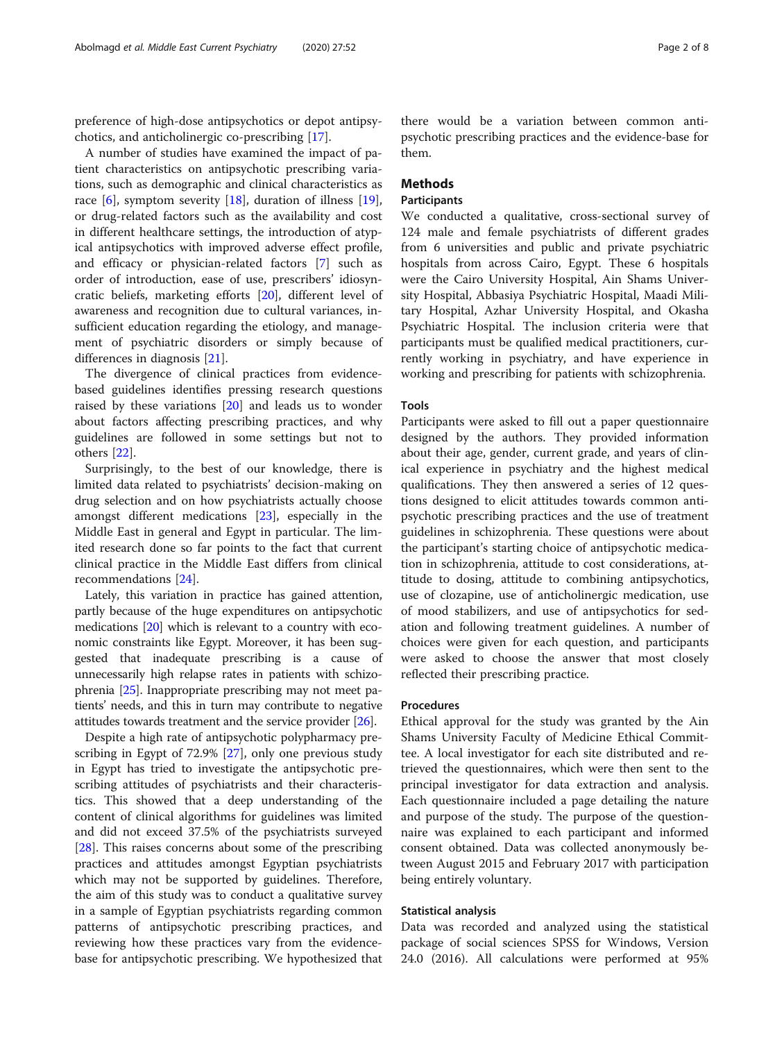preference of high-dose antipsychotics or depot antipsychotics, and anticholinergic co-prescribing [[17\]](#page-7-0).

A number of studies have examined the impact of patient characteristics on antipsychotic prescribing variations, such as demographic and clinical characteristics as race  $[6]$  $[6]$  $[6]$ , symptom severity  $[18]$ , duration of illness  $[19]$  $[19]$ , or drug-related factors such as the availability and cost in different healthcare settings, the introduction of atypical antipsychotics with improved adverse effect profile, and efficacy or physician-related factors [[7\]](#page-6-0) such as order of introduction, ease of use, prescribers' idiosyncratic beliefs, marketing efforts [[20](#page-7-0)], different level of awareness and recognition due to cultural variances, insufficient education regarding the etiology, and management of psychiatric disorders or simply because of differences in diagnosis [\[21\]](#page-7-0).

The divergence of clinical practices from evidencebased guidelines identifies pressing research questions raised by these variations [[20\]](#page-7-0) and leads us to wonder about factors affecting prescribing practices, and why guidelines are followed in some settings but not to others [\[22](#page-7-0)].

Surprisingly, to the best of our knowledge, there is limited data related to psychiatrists' decision-making on drug selection and on how psychiatrists actually choose amongst different medications [\[23\]](#page-7-0), especially in the Middle East in general and Egypt in particular. The limited research done so far points to the fact that current clinical practice in the Middle East differs from clinical recommendations [\[24](#page-7-0)].

Lately, this variation in practice has gained attention, partly because of the huge expenditures on antipsychotic medications [\[20\]](#page-7-0) which is relevant to a country with economic constraints like Egypt. Moreover, it has been suggested that inadequate prescribing is a cause of unnecessarily high relapse rates in patients with schizophrenia [\[25](#page-7-0)]. Inappropriate prescribing may not meet patients' needs, and this in turn may contribute to negative attitudes towards treatment and the service provider [[26](#page-7-0)].

Despite a high rate of antipsychotic polypharmacy prescribing in Egypt of 72.9% [\[27](#page-7-0)], only one previous study in Egypt has tried to investigate the antipsychotic prescribing attitudes of psychiatrists and their characteristics. This showed that a deep understanding of the content of clinical algorithms for guidelines was limited and did not exceed 37.5% of the psychiatrists surveyed [[28\]](#page-7-0). This raises concerns about some of the prescribing practices and attitudes amongst Egyptian psychiatrists which may not be supported by guidelines. Therefore, the aim of this study was to conduct a qualitative survey in a sample of Egyptian psychiatrists regarding common patterns of antipsychotic prescribing practices, and reviewing how these practices vary from the evidencebase for antipsychotic prescribing. We hypothesized that

there would be a variation between common antipsychotic prescribing practices and the evidence-base for them.

# **Methods**

# Participants

We conducted a qualitative, cross-sectional survey of 124 male and female psychiatrists of different grades from 6 universities and public and private psychiatric hospitals from across Cairo, Egypt. These 6 hospitals were the Cairo University Hospital, Ain Shams University Hospital, Abbasiya Psychiatric Hospital, Maadi Military Hospital, Azhar University Hospital, and Okasha Psychiatric Hospital. The inclusion criteria were that participants must be qualified medical practitioners, currently working in psychiatry, and have experience in working and prescribing for patients with schizophrenia.

## Tools

Participants were asked to fill out a paper questionnaire designed by the authors. They provided information about their age, gender, current grade, and years of clinical experience in psychiatry and the highest medical qualifications. They then answered a series of 12 questions designed to elicit attitudes towards common antipsychotic prescribing practices and the use of treatment guidelines in schizophrenia. These questions were about the participant's starting choice of antipsychotic medication in schizophrenia, attitude to cost considerations, attitude to dosing, attitude to combining antipsychotics, use of clozapine, use of anticholinergic medication, use of mood stabilizers, and use of antipsychotics for sedation and following treatment guidelines. A number of choices were given for each question, and participants were asked to choose the answer that most closely reflected their prescribing practice.

# Procedures

Ethical approval for the study was granted by the Ain Shams University Faculty of Medicine Ethical Committee. A local investigator for each site distributed and retrieved the questionnaires, which were then sent to the principal investigator for data extraction and analysis. Each questionnaire included a page detailing the nature and purpose of the study. The purpose of the questionnaire was explained to each participant and informed consent obtained. Data was collected anonymously between August 2015 and February 2017 with participation being entirely voluntary.

## Statistical analysis

Data was recorded and analyzed using the statistical package of social sciences SPSS for Windows, Version 24.0 (2016). All calculations were performed at 95%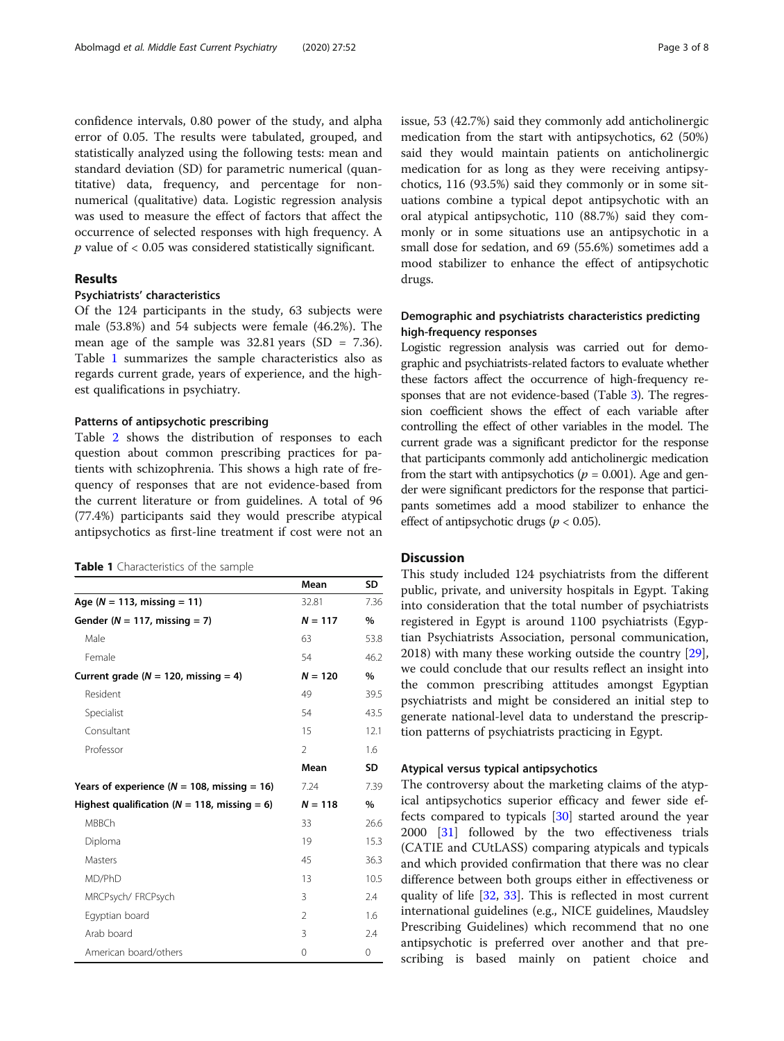confidence intervals, 0.80 power of the study, and alpha error of 0.05. The results were tabulated, grouped, and statistically analyzed using the following tests: mean and standard deviation (SD) for parametric numerical (quantitative) data, frequency, and percentage for nonnumerical (qualitative) data. Logistic regression analysis was used to measure the effect of factors that affect the occurrence of selected responses with high frequency. A  $p$  value of  $< 0.05$  was considered statistically significant.

# Results

# Psychiatrists' characteristics

Of the 124 participants in the study, 63 subjects were male (53.8%) and 54 subjects were female (46.2%). The mean age of the sample was  $32.81$  years (SD = 7.36). Table 1 summarizes the sample characteristics also as regards current grade, years of experience, and the highest qualifications in psychiatry.

# Patterns of antipsychotic prescribing

Table [2](#page-3-0) shows the distribution of responses to each question about common prescribing practices for patients with schizophrenia. This shows a high rate of frequency of responses that are not evidence-based from the current literature or from guidelines. A total of 96 (77.4%) participants said they would prescribe atypical antipsychotics as first-line treatment if cost were not an

## Table 1 Characteristics of the sample

|                                                  | Mean          | <b>SD</b> |
|--------------------------------------------------|---------------|-----------|
| Age ( $N = 113$ , missing = 11)                  | 32.81         | 7.36      |
| Gender ( $N = 117$ , missing = 7)                | $N = 117$     | $\%$      |
| Male                                             | 63            | 53.8      |
| Female                                           | 54            | 46.2      |
| Current grade ( $N = 120$ , missing = 4)         | $N = 120$     | $\%$      |
| Resident                                         | 49            | 39.5      |
| Specialist                                       | 54            | 43.5      |
| Consultant                                       | 15            | 12.1      |
| Professor                                        | $\mathcal{P}$ | 1.6       |
|                                                  | Mean          | <b>SD</b> |
| Years of experience ( $N = 108$ , missing = 16)  | 7.24          | 7.39      |
| Highest qualification ( $N = 118$ , missing = 6) | $N = 118$     | $\%$      |
| <b>MBBCh</b>                                     | 33            | 26.6      |
| Diploma                                          | 19            | 15.3      |
| <b>Masters</b>                                   | 45            | 36.3      |
| MD/PhD                                           | 13            | 10.5      |
| MRCPsych/FRCPsych                                | 3             | 2.4       |
| Eqyptian board                                   | $\mathcal{P}$ | 1.6       |
| Arab board                                       | 3             | 2.4       |
| American board/others                            | 0             | 0         |

issue, 53 (42.7%) said they commonly add anticholinergic medication from the start with antipsychotics, 62 (50%) said they would maintain patients on anticholinergic medication for as long as they were receiving antipsychotics, 116 (93.5%) said they commonly or in some situations combine a typical depot antipsychotic with an oral atypical antipsychotic, 110 (88.7%) said they commonly or in some situations use an antipsychotic in a small dose for sedation, and 69 (55.6%) sometimes add a mood stabilizer to enhance the effect of antipsychotic drugs.

# Demographic and psychiatrists characteristics predicting high-frequency responses

Logistic regression analysis was carried out for demographic and psychiatrists-related factors to evaluate whether these factors affect the occurrence of high-frequency responses that are not evidence-based (Table [3](#page-5-0)). The regression coefficient shows the effect of each variable after controlling the effect of other variables in the model. The current grade was a significant predictor for the response that participants commonly add anticholinergic medication from the start with antipsychotics ( $p = 0.001$ ). Age and gender were significant predictors for the response that participants sometimes add a mood stabilizer to enhance the effect of antipsychotic drugs ( $p < 0.05$ ).

# **Discussion**

This study included 124 psychiatrists from the different public, private, and university hospitals in Egypt. Taking into consideration that the total number of psychiatrists registered in Egypt is around 1100 psychiatrists (Egyptian Psychiatrists Association, personal communication, 2018) with many these working outside the country [\[29](#page-7-0)], we could conclude that our results reflect an insight into the common prescribing attitudes amongst Egyptian psychiatrists and might be considered an initial step to generate national-level data to understand the prescription patterns of psychiatrists practicing in Egypt.

# Atypical versus typical antipsychotics

The controversy about the marketing claims of the atypical antipsychotics superior efficacy and fewer side effects compared to typicals [\[30](#page-7-0)] started around the year 2000 [\[31](#page-7-0)] followed by the two effectiveness trials (CATIE and CUtLASS) comparing atypicals and typicals and which provided confirmation that there was no clear difference between both groups either in effectiveness or quality of life [\[32](#page-7-0), [33\]](#page-7-0). This is reflected in most current international guidelines (e.g., NICE guidelines, Maudsley Prescribing Guidelines) which recommend that no one antipsychotic is preferred over another and that prescribing is based mainly on patient choice and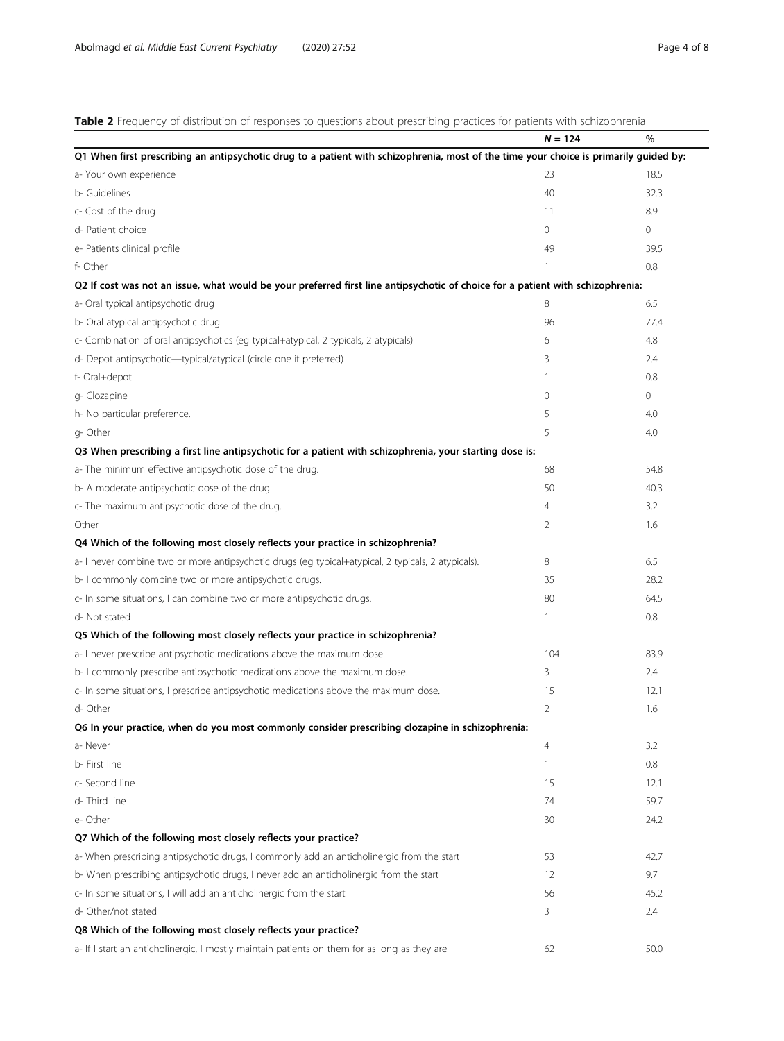<span id="page-3-0"></span>Table 2 Frequency of distribution of responses to questions about prescribing practices for patients with schizophrenia

| <b>Table 2</b> Fiequency of distribution of responses to questions about prescribing practices for patients with scribbonierina       | $N = 124$      | $\%$           |
|---------------------------------------------------------------------------------------------------------------------------------------|----------------|----------------|
| Q1 When first prescribing an antipsychotic drug to a patient with schizophrenia, most of the time your choice is primarily guided by: |                |                |
| a- Your own experience                                                                                                                | 23             | 18.5           |
| b- Guidelines                                                                                                                         | 40             | 32.3           |
| c- Cost of the drug                                                                                                                   | 11             | 8.9            |
| d- Patient choice                                                                                                                     | 0              | $\overline{0}$ |
| e- Patients clinical profile                                                                                                          | 49             | 39.5           |
| f- Other                                                                                                                              | 1              | 0.8            |
| Q2 If cost was not an issue, what would be your preferred first line antipsychotic of choice for a patient with schizophrenia:        |                |                |
| a- Oral typical antipsychotic drug                                                                                                    | 8              | 6.5            |
| b- Oral atypical antipsychotic drug                                                                                                   | 96             | 77.4           |
| c- Combination of oral antipsychotics (eq typical+atypical, 2 typicals, 2 atypicals)                                                  | 6              | 4.8            |
| d- Depot antipsychotic-typical/atypical (circle one if preferred)                                                                     | 3              | 2.4            |
| f- Oral+depot                                                                                                                         | 1              | 0.8            |
| g- Clozapine                                                                                                                          | $\circ$        | 0              |
| h- No particular preference.                                                                                                          | 5              | 4.0            |
| g-Other                                                                                                                               | 5              | 4.0            |
| Q3 When prescribing a first line antipsychotic for a patient with schizophrenia, your starting dose is:                               |                |                |
| a- The minimum effective antipsychotic dose of the drug.                                                                              | 68             | 54.8           |
| b- A moderate antipsychotic dose of the drug.                                                                                         | 50             | 40.3           |
| c- The maximum antipsychotic dose of the drug.                                                                                        | 4              | 3.2            |
| Other                                                                                                                                 | 2              | 1.6            |
| Q4 Which of the following most closely reflects your practice in schizophrenia?                                                       |                |                |
| a- I never combine two or more antipsychotic drugs (eg typical+atypical, 2 typicals, 2 atypicals).                                    | 8              | 6.5            |
| b- I commonly combine two or more antipsychotic drugs.                                                                                | 35             | 28.2           |
| c- In some situations, I can combine two or more antipsychotic drugs.                                                                 | 80             | 64.5           |
| d- Not stated                                                                                                                         | 1              | 0.8            |
| Q5 Which of the following most closely reflects your practice in schizophrenia?                                                       |                |                |
| a- I never prescribe antipsychotic medications above the maximum dose.                                                                | 104            | 83.9           |
| b- I commonly prescribe antipsychotic medications above the maximum dose.                                                             | 3              | 2.4            |
| c- In some situations, I prescribe antipsychotic medications above the maximum dose.                                                  | 15             | 12.1           |
| d- Other                                                                                                                              | $\overline{2}$ | 1.6            |
| Q6 In your practice, when do you most commonly consider prescribing clozapine in schizophrenia:                                       |                |                |
| a-Never                                                                                                                               | 4              | 3.2            |
| b- First line                                                                                                                         | 1              | 0.8            |
| c- Second line                                                                                                                        | 15             | 12.1           |
| d-Third line                                                                                                                          | 74             | 59.7           |
| e-Other                                                                                                                               | 30             | 24.2           |
| Q7 Which of the following most closely reflects your practice?                                                                        |                |                |
| a- When prescribing antipsychotic drugs, I commonly add an anticholinergic from the start                                             | 53             | 42.7           |
| b- When prescribing antipsychotic drugs, I never add an anticholinergic from the start                                                | 12             | 9.7            |
| c- In some situations, I will add an anticholinergic from the start                                                                   | 56             | 45.2           |
| d- Other/not stated                                                                                                                   | 3              | 2.4            |
| Q8 Which of the following most closely reflects your practice?                                                                        |                |                |
| a- If I start an anticholinergic, I mostly maintain patients on them for as long as they are                                          | 62             | 50.0           |
|                                                                                                                                       |                |                |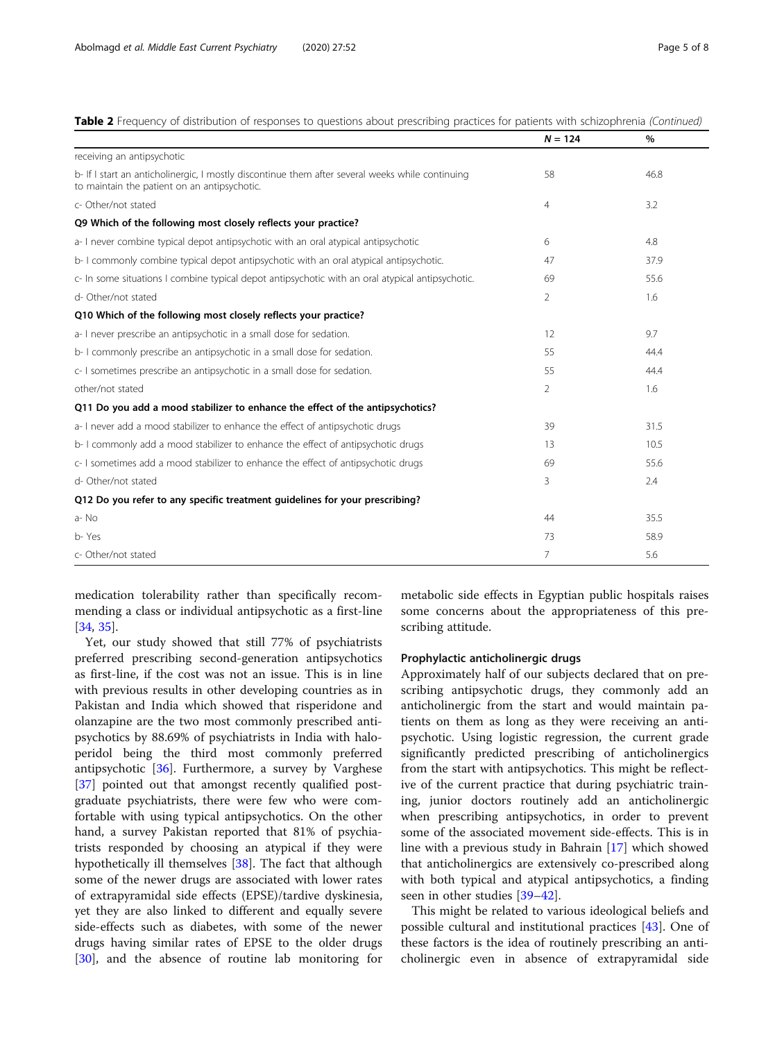# Table 2 Frequency of distribution of responses to questions about prescribing practices for patients with schizophrenia (Continued)

|                                                                                                                                                  | $N = 124$      | %    |
|--------------------------------------------------------------------------------------------------------------------------------------------------|----------------|------|
| receiving an antipsychotic                                                                                                                       |                |      |
| b- If I start an anticholinergic, I mostly discontinue them after several weeks while continuing<br>to maintain the patient on an antipsychotic. | 58             | 46.8 |
| c- Other/not stated                                                                                                                              | $\overline{4}$ | 3.2  |
| Q9 Which of the following most closely reflects your practice?                                                                                   |                |      |
| a- I never combine typical depot antipsychotic with an oral atypical antipsychotic                                                               | 6              | 4.8  |
| b- I commonly combine typical depot antipsychotic with an oral atypical antipsychotic.                                                           | 47             | 37.9 |
| c- In some situations I combine typical depot antipsychotic with an oral atypical antipsychotic.                                                 | 69             | 55.6 |
| d- Other/not stated                                                                                                                              | 2              | 1.6  |
| Q10 Which of the following most closely reflects your practice?                                                                                  |                |      |
| a- I never prescribe an antipsychotic in a small dose for sedation.                                                                              | 12             | 9.7  |
| b- I commonly prescribe an antipsychotic in a small dose for sedation.                                                                           | 55             | 44.4 |
| c- I sometimes prescribe an antipsychotic in a small dose for sedation.                                                                          | 55             | 44.4 |
| other/not stated                                                                                                                                 | 2              | 1.6  |
| Q11 Do you add a mood stabilizer to enhance the effect of the antipsychotics?                                                                    |                |      |
| a- I never add a mood stabilizer to enhance the effect of antipsychotic drugs                                                                    | 39             | 31.5 |
| b- I commonly add a mood stabilizer to enhance the effect of antipsychotic drugs                                                                 | 13             | 10.5 |
| c- I sometimes add a mood stabilizer to enhance the effect of antipsychotic drugs                                                                | 69             | 55.6 |
| d- Other/not stated                                                                                                                              | 3              | 2.4  |
| Q12 Do you refer to any specific treatment guidelines for your prescribing?                                                                      |                |      |
| a-No                                                                                                                                             | 44             | 35.5 |
| b-Yes                                                                                                                                            | 73             | 58.9 |
| c- Other/not stated                                                                                                                              | 7              | 5.6  |

medication tolerability rather than specifically recommending a class or individual antipsychotic as a first-line [[34,](#page-7-0) [35\]](#page-7-0).

Yet, our study showed that still 77% of psychiatrists preferred prescribing second-generation antipsychotics as first-line, if the cost was not an issue. This is in line with previous results in other developing countries as in Pakistan and India which showed that risperidone and olanzapine are the two most commonly prescribed antipsychotics by 88.69% of psychiatrists in India with haloperidol being the third most commonly preferred antipsychotic [[36\]](#page-7-0). Furthermore, a survey by Varghese [[37\]](#page-7-0) pointed out that amongst recently qualified postgraduate psychiatrists, there were few who were comfortable with using typical antipsychotics. On the other hand, a survey Pakistan reported that 81% of psychiatrists responded by choosing an atypical if they were hypothetically ill themselves [\[38\]](#page-7-0). The fact that although some of the newer drugs are associated with lower rates of extrapyramidal side effects (EPSE)/tardive dyskinesia, yet they are also linked to different and equally severe side-effects such as diabetes, with some of the newer drugs having similar rates of EPSE to the older drugs [[30\]](#page-7-0), and the absence of routine lab monitoring for

metabolic side effects in Egyptian public hospitals raises some concerns about the appropriateness of this prescribing attitude.

## Prophylactic anticholinergic drugs

Approximately half of our subjects declared that on prescribing antipsychotic drugs, they commonly add an anticholinergic from the start and would maintain patients on them as long as they were receiving an antipsychotic. Using logistic regression, the current grade significantly predicted prescribing of anticholinergics from the start with antipsychotics. This might be reflective of the current practice that during psychiatric training, junior doctors routinely add an anticholinergic when prescribing antipsychotics, in order to prevent some of the associated movement side-effects. This is in line with a previous study in Bahrain [[17\]](#page-7-0) which showed that anticholinergics are extensively co-prescribed along with both typical and atypical antipsychotics, a finding seen in other studies [[39](#page-7-0)–[42](#page-7-0)].

This might be related to various ideological beliefs and possible cultural and institutional practices [[43](#page-7-0)]. One of these factors is the idea of routinely prescribing an anticholinergic even in absence of extrapyramidal side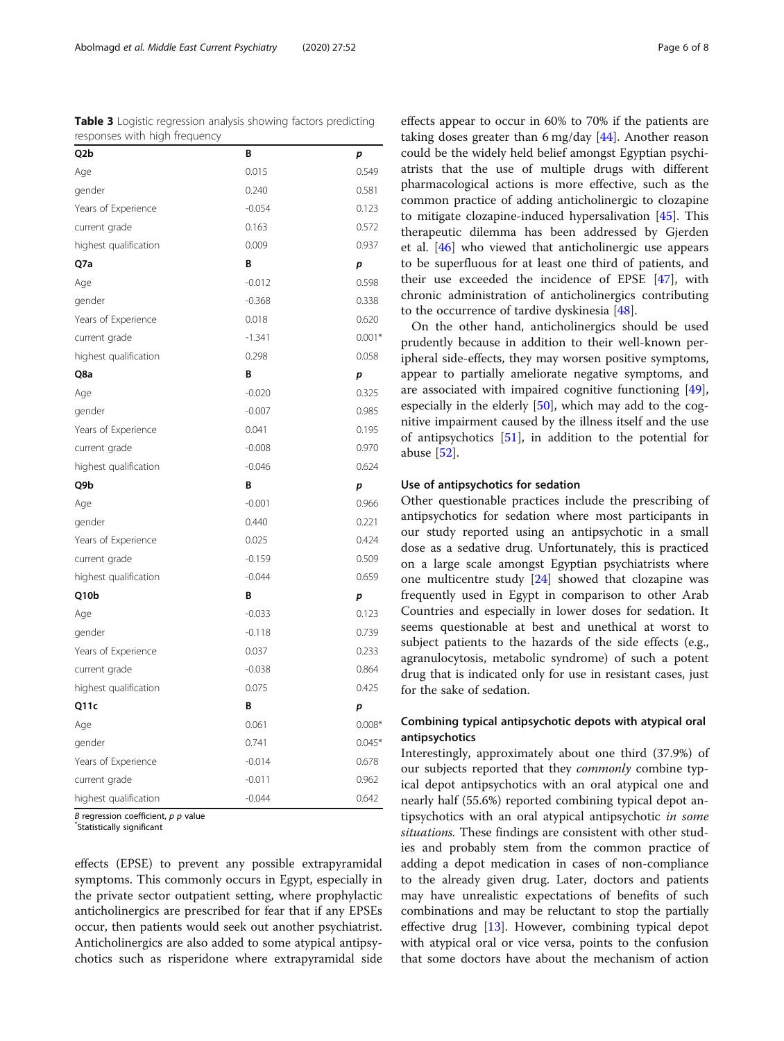<span id="page-5-0"></span>

| Table 3 Logistic regression analysis showing factors predicting |  |  |
|-----------------------------------------------------------------|--|--|
| responses with high frequency                                   |  |  |

| Q2b                   | B        | p        |  |
|-----------------------|----------|----------|--|
| Age                   | 0.015    | 0.549    |  |
| gender                | 0.240    | 0.581    |  |
| Years of Experience   | $-0.054$ | 0.123    |  |
| current grade         | 0.163    | 0.572    |  |
| highest qualification | 0.009    | 0.937    |  |
| Q7a                   | B        | p        |  |
| Age                   | $-0.012$ | 0.598    |  |
| gender                | $-0.368$ | 0.338    |  |
| Years of Experience   | 0.018    | 0.620    |  |
| current grade         | $-1.341$ | $0.001*$ |  |
| highest qualification | 0.298    | 0.058    |  |
| Q8a                   | B        | p        |  |
| Age                   | $-0.020$ | 0.325    |  |
| gender                | $-0.007$ | 0.985    |  |
| Years of Experience   | 0.041    | 0.195    |  |
| current grade         | $-0.008$ | 0.970    |  |
| highest qualification | $-0.046$ | 0.624    |  |
| Q9b                   | B        | p        |  |
| Age                   | $-0.001$ | 0.966    |  |
| gender                | 0.440    | 0.221    |  |
| Years of Experience   | 0.025    | 0.424    |  |
| current grade         | $-0.159$ | 0.509    |  |
| highest qualification | $-0.044$ | 0.659    |  |
| Q10b                  | B        | р        |  |
| Age                   | $-0.033$ | 0.123    |  |
| gender                | $-0.118$ | 0.739    |  |
| Years of Experience   | 0.037    | 0.233    |  |
| current grade         | $-0.038$ | 0.864    |  |
| highest qualification | 0.075    | 0.425    |  |
| Q11c                  | B        | p        |  |
| Age                   | 0.061    | $0.008*$ |  |
| gender                | 0.741    | $0.045*$ |  |
| Years of Experience   | $-0.014$ | 0.678    |  |
| current grade         | $-0.011$ | 0.962    |  |
| highest qualification | $-0.044$ | 0.642    |  |

B regression coefficient,  $p$   $p$  value

Statistically significant

effects (EPSE) to prevent any possible extrapyramidal symptoms. This commonly occurs in Egypt, especially in the private sector outpatient setting, where prophylactic anticholinergics are prescribed for fear that if any EPSEs occur, then patients would seek out another psychiatrist. Anticholinergics are also added to some atypical antipsychotics such as risperidone where extrapyramidal side effects appear to occur in 60% to 70% if the patients are taking doses greater than 6 mg/day [[44\]](#page-7-0). Another reason could be the widely held belief amongst Egyptian psychiatrists that the use of multiple drugs with different pharmacological actions is more effective, such as the common practice of adding anticholinergic to clozapine to mitigate clozapine-induced hypersalivation [\[45](#page-7-0)]. This therapeutic dilemma has been addressed by Gjerden et al. [\[46\]](#page-7-0) who viewed that anticholinergic use appears to be superfluous for at least one third of patients, and their use exceeded the incidence of EPSE [[47\]](#page-7-0), with chronic administration of anticholinergics contributing to the occurrence of tardive dyskinesia [\[48\]](#page-7-0).

On the other hand, anticholinergics should be used prudently because in addition to their well-known peripheral side-effects, they may worsen positive symptoms, appear to partially ameliorate negative symptoms, and are associated with impaired cognitive functioning [\[49](#page-7-0)], especially in the elderly [\[50\]](#page-7-0), which may add to the cognitive impairment caused by the illness itself and the use of antipsychotics [\[51](#page-7-0)], in addition to the potential for abuse [[52\]](#page-7-0).

## Use of antipsychotics for sedation

Other questionable practices include the prescribing of antipsychotics for sedation where most participants in our study reported using an antipsychotic in a small dose as a sedative drug. Unfortunately, this is practiced on a large scale amongst Egyptian psychiatrists where one multicentre study [\[24](#page-7-0)] showed that clozapine was frequently used in Egypt in comparison to other Arab Countries and especially in lower doses for sedation. It seems questionable at best and unethical at worst to subject patients to the hazards of the side effects (e.g., agranulocytosis, metabolic syndrome) of such a potent drug that is indicated only for use in resistant cases, just for the sake of sedation.

# Combining typical antipsychotic depots with atypical oral antipsychotics

Interestingly, approximately about one third (37.9%) of our subjects reported that they commonly combine typical depot antipsychotics with an oral atypical one and nearly half (55.6%) reported combining typical depot antipsychotics with an oral atypical antipsychotic in some situations. These findings are consistent with other studies and probably stem from the common practice of adding a depot medication in cases of non-compliance to the already given drug. Later, doctors and patients may have unrealistic expectations of benefits of such combinations and may be reluctant to stop the partially effective drug [[13\]](#page-7-0). However, combining typical depot with atypical oral or vice versa, points to the confusion that some doctors have about the mechanism of action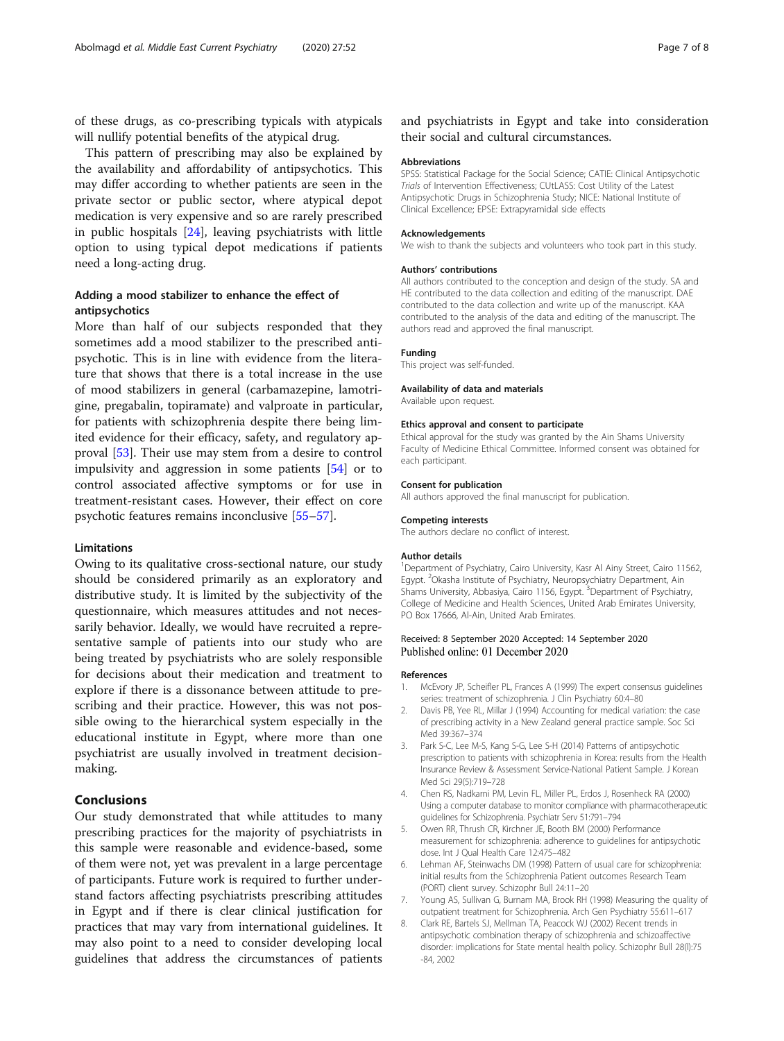<span id="page-6-0"></span>of these drugs, as co-prescribing typicals with atypicals will nullify potential benefits of the atypical drug.

This pattern of prescribing may also be explained by the availability and affordability of antipsychotics. This may differ according to whether patients are seen in the private sector or public sector, where atypical depot medication is very expensive and so are rarely prescribed in public hospitals [\[24](#page-7-0)], leaving psychiatrists with little option to using typical depot medications if patients need a long-acting drug.

# Adding a mood stabilizer to enhance the effect of antipsychotics

More than half of our subjects responded that they sometimes add a mood stabilizer to the prescribed antipsychotic. This is in line with evidence from the literature that shows that there is a total increase in the use of mood stabilizers in general (carbamazepine, lamotrigine, pregabalin, topiramate) and valproate in particular, for patients with schizophrenia despite there being limited evidence for their efficacy, safety, and regulatory approval [\[53](#page-7-0)]. Their use may stem from a desire to control impulsivity and aggression in some patients [\[54](#page-7-0)] or to control associated affective symptoms or for use in treatment-resistant cases. However, their effect on core psychotic features remains inconclusive [[55](#page-7-0)–[57](#page-7-0)].

## Limitations

Owing to its qualitative cross-sectional nature, our study should be considered primarily as an exploratory and distributive study. It is limited by the subjectivity of the questionnaire, which measures attitudes and not necessarily behavior. Ideally, we would have recruited a representative sample of patients into our study who are being treated by psychiatrists who are solely responsible for decisions about their medication and treatment to explore if there is a dissonance between attitude to prescribing and their practice. However, this was not possible owing to the hierarchical system especially in the educational institute in Egypt, where more than one psychiatrist are usually involved in treatment decisionmaking.

# Conclusions

Our study demonstrated that while attitudes to many prescribing practices for the majority of psychiatrists in this sample were reasonable and evidence-based, some of them were not, yet was prevalent in a large percentage of participants. Future work is required to further understand factors affecting psychiatrists prescribing attitudes in Egypt and if there is clear clinical justification for practices that may vary from international guidelines. It may also point to a need to consider developing local guidelines that address the circumstances of patients and psychiatrists in Egypt and take into consideration their social and cultural circumstances.

## Abbreviations

SPSS: Statistical Package for the Social Science; CATIE: Clinical Antipsychotic Trials of Intervention Effectiveness; CUtLASS: Cost Utility of the Latest Antipsychotic Drugs in Schizophrenia Study; NICE: National Institute of Clinical Excellence; EPSE: Extrapyramidal side effects

#### Acknowledgements

We wish to thank the subjects and volunteers who took part in this study.

## Authors' contributions

All authors contributed to the conception and design of the study. SA and HE contributed to the data collection and editing of the manuscript. DAE contributed to the data collection and write up of the manuscript. KAA contributed to the analysis of the data and editing of the manuscript. The authors read and approved the final manuscript.

## Funding

This project was self-funded.

#### Availability of data and materials

Available upon request.

#### Ethics approval and consent to participate

Ethical approval for the study was granted by the Ain Shams University Faculty of Medicine Ethical Committee. Informed consent was obtained for each participant.

#### Consent for publication

All authors approved the final manuscript for publication.

#### Competing interests

The authors declare no conflict of interest.

#### Author details

<sup>1</sup>Department of Psychiatry, Cairo University, Kasr Al Ainy Street, Cairo 11562 Egypt. <sup>2</sup> Okasha Institute of Psychiatry, Neuropsychiatry Department, Ain Shams University, Abbasiya, Cairo 1156, Egypt. <sup>3</sup>Department of Psychiatry College of Medicine and Health Sciences, United Arab Emirates University, PO Box 17666, Al-Ain, United Arab Emirates.

## Received: 8 September 2020 Accepted: 14 September 2020 Published online: 01 December 2020

#### References

- 1. McEvory JP, Scheifler PL, Frances A (1999) The expert consensus guidelines series: treatment of schizophrenia. J Clin Psychiatry 60:4–80
- 2. Davis PB, Yee RL, Millar J (1994) Accounting for medical variation: the case of prescribing activity in a New Zealand general practice sample. Soc Sci Med 39:367–374
- 3. Park S-C, Lee M-S, Kang S-G, Lee S-H (2014) Patterns of antipsychotic prescription to patients with schizophrenia in Korea: results from the Health Insurance Review & Assessment Service-National Patient Sample. J Korean Med Sci 29(5):719–728
- 4. Chen RS, Nadkarni PM, Levin FL, Miller PL, Erdos J, Rosenheck RA (2000) Using a computer database to monitor compliance with pharmacotherapeutic guidelines for Schizophrenia. Psychiatr Serv 51:791–794
- 5. Owen RR, Thrush CR, Kirchner JE, Booth BM (2000) Performance measurement for schizophrenia: adherence to guidelines for antipsychotic dose. Int J Qual Health Care 12:475–482
- 6. Lehman AF, Steinwachs DM (1998) Pattern of usual care for schizophrenia: initial results from the Schizophrenia Patient outcomes Research Team (PORT) client survey. Schizophr Bull 24:11–20
- 7. Young AS, Sullivan G, Burnam MA, Brook RH (1998) Measuring the quality of outpatient treatment for Schizophrenia. Arch Gen Psychiatry 55:611–617
- 8. Clark RE, Bartels SJ, Mellman TA, Peacock WJ (2002) Recent trends in antipsychotic combination therapy of schizophrenia and schizoaffective disorder: implications for State mental health policy. Schizophr Bull 28(l):75 -84, 2002